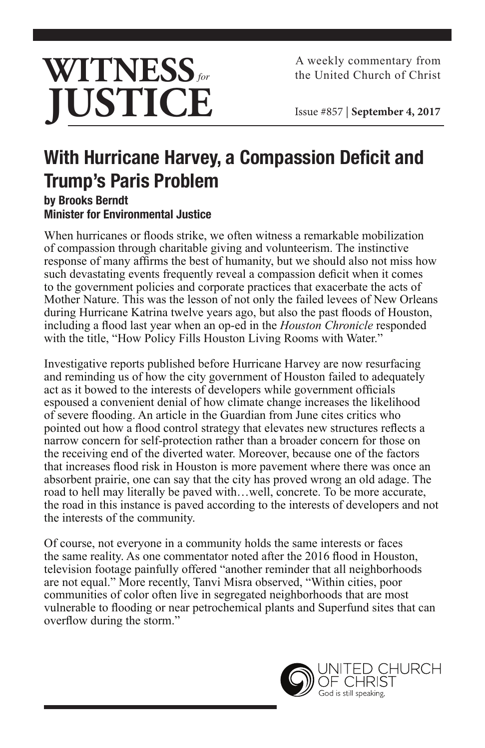

A weekly commentary from the United Church of Christ

Issue #857 | **September 4, 2017**

## **With Hurricane Harvey, a Compassion Deficit and Trump's Paris Problem**

**by Brooks Berndt Minister for Environmental Justice**

When hurricanes or floods strike, we often witness a remarkable mobilization of compassion through charitable giving and volunteerism. The instinctive response of many affirms the best of humanity, but we should also not miss how such devastating events frequently reveal a compassion deficit when it comes to the government policies and corporate practices that exacerbate the acts of Mother Nature. This was the lesson of not only the failed levees of New Orleans during Hurricane Katrina twelve years ago, but also the past floods of Houston, including a flood last year when an op-ed in the *Houston Chronicle* responded with the title, "How Policy Fills Houston Living Rooms with Water."

Investigative reports published before Hurricane Harvey are now resurfacing and reminding us of how the city government of Houston failed to adequately act as it bowed to the interests of developers while government officials espoused a convenient denial of how climate change increases the likelihood of severe flooding. An article in the Guardian from June cites critics who pointed out how a flood control strategy that elevates new structures reflects a narrow concern for self-protection rather than a broader concern for those on the receiving end of the diverted water. Moreover, because one of the factors that increases flood risk in Houston is more pavement where there was once an absorbent prairie, one can say that the city has proved wrong an old adage. The road to hell may literally be paved with…well, concrete. To be more accurate, the road in this instance is paved according to the interests of developers and not the interests of the community.

Of course, not everyone in a community holds the same interests or faces the same reality. As one commentator noted after the 2016 flood in Houston, television footage painfully offered "another reminder that all neighborhoods are not equal." More recently, Tanvi Misra observed, "Within cities, poor communities of color often live in segregated neighborhoods that are most vulnerable to flooding or near petrochemical plants and Superfund sites that can overflow during the storm."